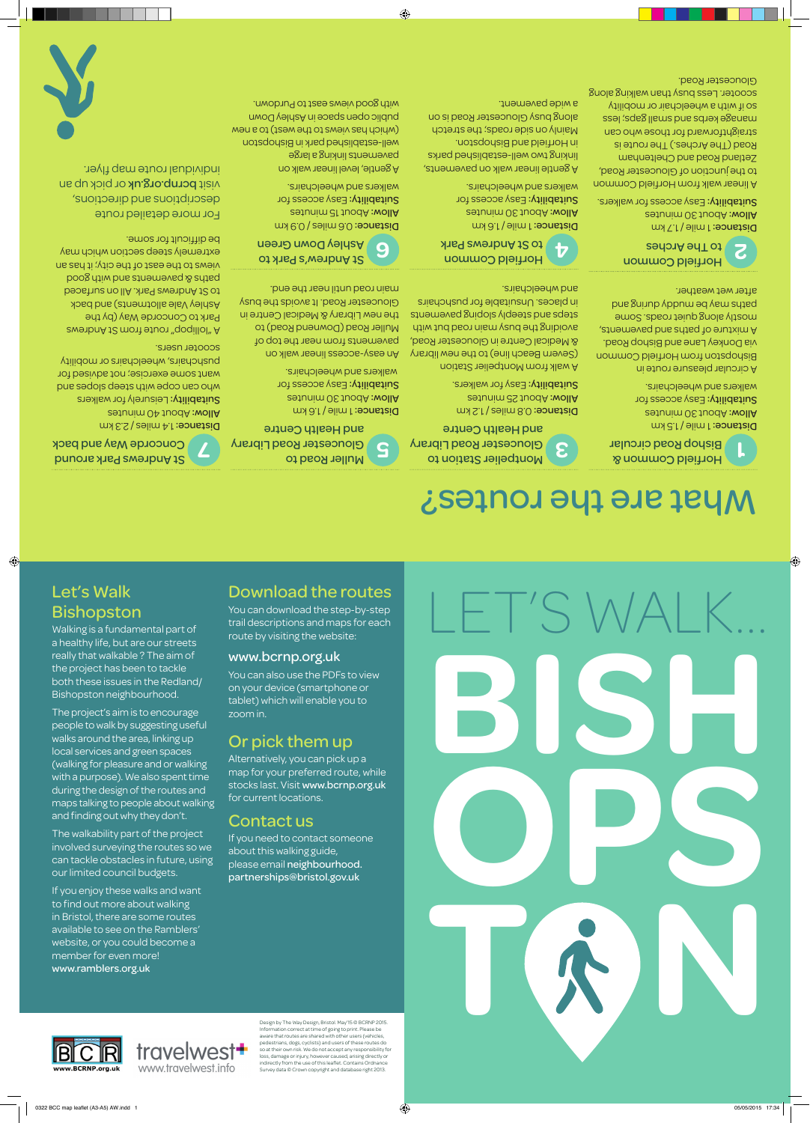### Let's Walk Bishopston

 $\bigcirc$ 

## Walking is a fundamental part of a healthy life, but are our streets really that walkable ? The aim of the project has been to tackle

both these issues in the Redland/

Bishopston neighbourhood. The project's aim is to encourage

people to walk by suggesting useful walks around the area, linking up local services and green spaces (walking for pleasure and or walking with a purpose). We also spent time during the design of the routes and maps talking to people about walking

#### and finding out why they don't.

The walkability part of the project involved surveying the routes so we can tackle obstacles in future, using our limited council budgets.

Distance: 1 mile / 1.5 km Allow: About 30 minutes Suitability: Easy access for walkers and wheelchairs.

 $\bigcirc$ 

If you enjoy these walks and want to find out more about walking in Bristol, there are some routes available to see on the Ramblers' website, or you could become a member for even more! www.ramblers.org.uk

#### **<sup>2</sup>** Horfield Common to The Arches

**Distance: 1 mile / 1.7 km** Allow: About 30 minutes Suitability: Easy access for walkers.

Download the routes You can download the step-by-step trail descriptions and maps for each

route by visiting the website:

www.bcrnp.org.uk

You can also use the PDFs to view on your device (smartphone or tablet) which will enable you to

zoom in.





Or pick them up Alternatively, you can pick up a map for your preferred route, while stocks last. Visit www.bcrnp.org.uk

for current locations.

#### Contact us

If you need to contact someone about this walking guide, please email neighbourhood. partnerships@bristol.gov.uk

Distance: 1 mile / 1.6 km Allow: About 30 minutes Suitability: Easy access for walkers and wheelchairs.

> **<sup>1</sup>** Horfield Common & Bishop Road circular

Distance: 1 mile / 1.6 km Allow: About 30 minutes Suitability: Easy access for walkers and wheelchairs.

ot <sup>Andrew</sup>'s Park to Ashley Down Green

> A circular pleasure route in Bishopston from Horfield Common via Donkey Lane and Bishop Road. A mixture of paths and pavements, mostly along quiet roads. Some pue Buiunp Appnw aq Aew syted after wet weather.

Distance: 0.6 miles / 0.9 km Allow: About 15 minutes Suitability: Easy access for walkers and wheelchairs.

Distance: 1.4 miles / 2.3 km Allow: About 40 minutes Suitability: Leisurely for walkers pue sado s daa1s y in adoo ueo oy m want some exercise; not advised for pushchairs, wheelchairs or mobility scooter users.

A linear walk from Horfield Common to the junction of Gloucester Road, Zetland Road and Cheltenham Road (The Arches.) The route is straightforward for those who can manage kerbs and small gaps; less so if with a wheelchair or mobility scooter. Less busy than walking along Gloucester Road.

# **BISH OPS** LET'S WALK.

Gloucester Road Library

and Health Centre

A walk from Montpelier Station

(Severn Beach line) to the new library & Medical Centre in Gloucester Road, avoiding the busy main road but with streps and steeply state and states in places. Unsuitable for pushchairs

and wheelchairs.

**3** Nontpelier Station to

 $m/s$ . C.8 miles / 1.2 km Allow: About 25 minutes Suitability: Easy for walkers.

#### **<sup>4</sup>** Horfield Common to St Andrews Park

A gentle linear walk on pavements, linking two well-established parks in Horfield and Bishopston. Mainly on side roads; the stretch along busy Gloucester Road is on a wide pavement.

**<sup>5</sup>** Muller Road to

Gloucester Road Library

and Health Centre

An easy-access linear walk on pavements from near the top of Muller Road (Downend Road) to the new Library & Medical Centre in Gloucester Road. It avoids the busy

main road until near the end.

A gentle, level linear walk on pavements linking a large well-established park in Bishopston (which has views to the west) to a new public open space in Ashley Down with good views east to Purdown.



A "lollipop" route from St Andrews Park to Concorde Way (by the Ashley Vale allotments) and back to St Andrews Park. All on surfaced paths & pavements and with good views to the east of the city; it has an extremely steep section which may be difficult for some.

For more detailed route descriptions and directions, visit **bcrnp.org.uk** or pick up an individual route map flyer.



 $\bigoplus$ 

# What are the routes?

**T N**

Design by The Way Design, Bristol. May'15 © BCRNP 2015. Information correct at time of going to print. Please be aware that routes are shared with other users (vehicles, pedestrians, dogs, cyclists) and users of these routes do so at their own risk. We do not accept any responsibility for loss, damage or injury, however caused, arising directly or indirectly from the use of this leaflet. Contains Ordnance Survey data © Crown copyright and database right 2013.